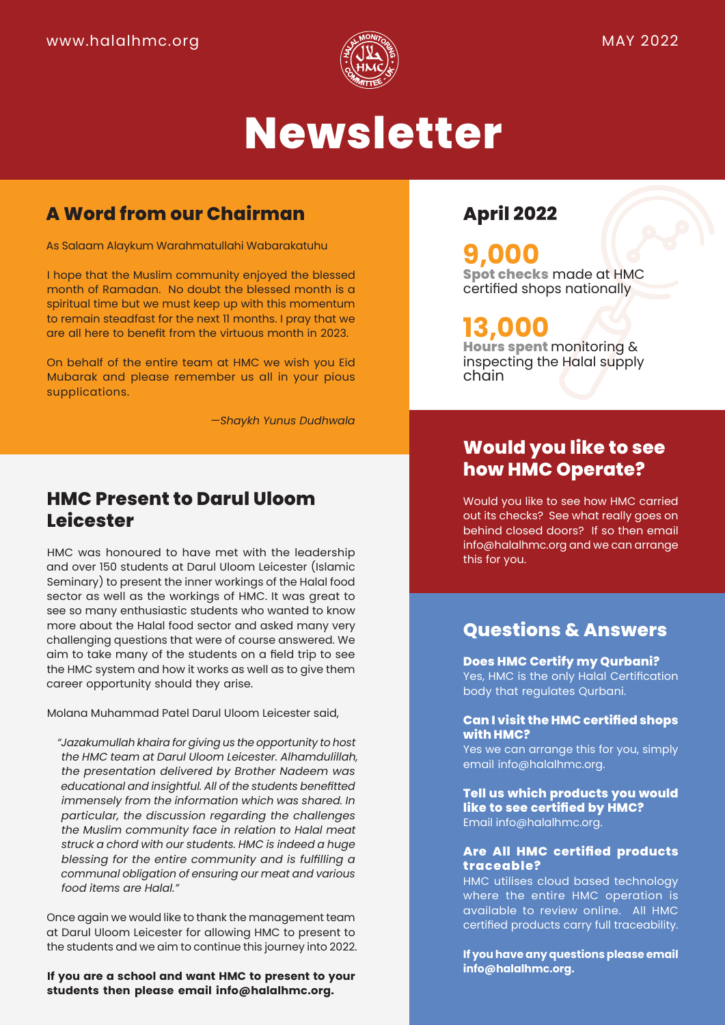

# **Newsletter**

### **A Word from our Chairman**

As Salaam Alaykum Warahmatullahi Wabarakatuhu

I hope that the Muslim community enjoyed the blessed month of Ramadan. No doubt the blessed month is a spiritual time but we must keep up with this momentum to remain steadfast for the next 11 months. I pray that we are all here to benefit from the virtuous month in 2023.

On behalf of the entire team at HMC we wish you Eid Mubarak and please remember us all in your pious supplications.

*—Shaykh Yunus Dudhwala*

### **HMC Present to Darul Uloom Leicester**

HMC was honoured to have met with the leadership and over 150 students at Darul Uloom Leicester (Islamic Seminary) to present the inner workings of the Halal food sector as well as the workings of HMC. It was great to see so many enthusiastic students who wanted to know more about the Halal food sector and asked many very challenging questions that were of course answered. We aim to take many of the students on a field trip to see the HMC system and how it works as well as to give them career opportunity should they arise.

Molana Muhammad Patel Darul Uloom Leicester said,

*"Jazakumullah khaira for giving us the opportunity to host the HMC team at Darul Uloom Leicester. Alhamdulillah, the presentation delivered by Brother Nadeem was educational and insightful. All of the students benefitted immensely from the information which was shared. In particular, the discussion regarding the challenges the Muslim community face in relation to Halal meat struck a chord with our students. HMC is indeed a huge blessing for the entire community and is fulfilling a communal obligation of ensuring our meat and various food items are Halal."*

Once again we would like to thank the management team at Darul Uloom Leicester for allowing HMC to present to the students and we aim to continue this journey into 2022.

**If you are a school and want HMC to present to your students then please email info@halalhmc.org.**

### **April 2022**

## **9,000**

**Spot checks** made at HMC certified shops nationally

## **13,000**

**Hours spent** monitoring & inspecting the Halal supply chain

### **Would you like to see how HMC Operate?**

Would you like to see how HMC carried out its checks? See what really goes on behind closed doors? If so then email info@halalhmc.org and we can arrange this for you.

#### **Questions & Answers**

#### **Does HMC Certify my Qurbani?**

Yes, HMC is the only Halal Certification body that regulates Qurbani.

#### **Can I visit the HMC certified shops with HMC?**

Yes we can arrange this for you, simply email info@halalhmc.org.

**Tell us which products you would like to see certified by HMC?** Email info@halalhmc.org.

#### **Are All HMC certified products traceable?**

HMC utilises cloud based technology where the entire HMC operation is available to review online. All HMC certified products carry full traceability.

**If you have any questions please email info@halalhmc.org.**